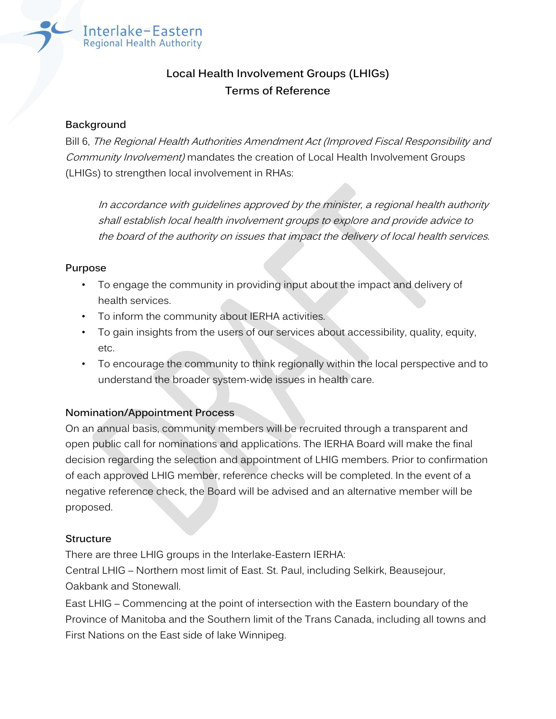# **Local Health Involvement Groups (LHIGs) Terms of Reference**

### **Background**

Bill 6, The Regional Health Authorities Amendment Act (Improved Fiscal Responsibility and Community Involvement) mandates the creation of Local Health Involvement Groups (LHIGs) to strengthen local involvement in RHAs:

In accordance with guidelines approved by the minister, a regional health authority shall establish local health involvement groups to explore and provide advice to the board of the authority on issues that impact the delivery of local health services.

#### **Purpose**

- To engage the community in providing input about the impact and delivery of health services.
- To inform the community about IERHA activities.
- To gain insights from the users of our services about accessibility, quality, equity, etc.
- To encourage the community to think regionally within the local perspective and to understand the broader system-wide issues in health care.

### **Nomination/Appointment Process**

On an annual basis, community members will be recruited through a transparent and open public call for nominations and applications. The IERHA Board will make the final decision regarding the selection and appointment of LHIG members. Prior to confirmation of each approved LHIG member, reference checks will be completed. In the event of a negative reference check, the Board will be advised and an alternative member will be proposed.

#### **Structure**

There are three LHIG groups in the Interlake-Eastern IERHA: Central LHIG – Northern most limit of East. St. Paul, including Selkirk, Beausejour, Oakbank and Stonewall.

East LHIG – Commencing at the point of intersection with the Eastern boundary of the Province of Manitoba and the Southern limit of the Trans Canada, including all towns and First Nations on the East side of lake Winnipeg.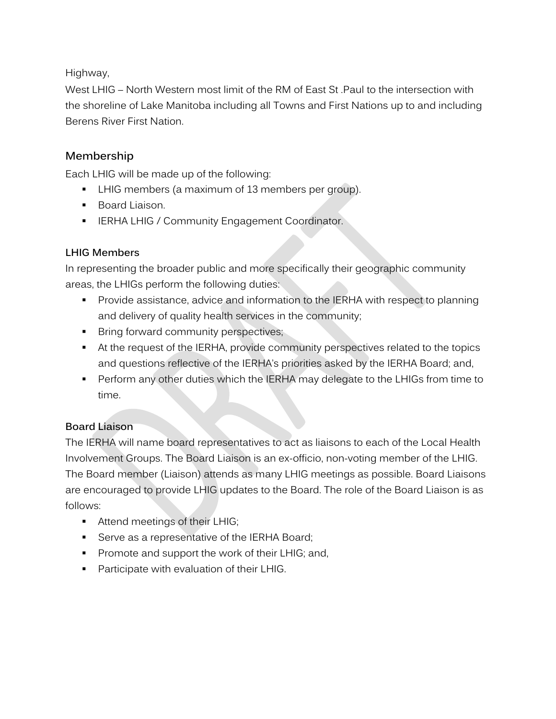Highway,

West LHIG – North Western most limit of the RM of East St .Paul to the intersection with the shoreline of Lake Manitoba including all Towns and First Nations up to and including Berens River First Nation.

# **Membership**

Each LHIG will be made up of the following:

- **IFM** LHIG members (a maximum of 13 members per group).
- **Board Liaison.**
- **IERHA LHIG / Community Engagement Coordinator.**

# **LHIG Members**

In representing the broader public and more specifically their geographic community areas, the LHIGs perform the following duties:

- **Provide assistance, advice and information to the IERHA with respect to planning** and delivery of quality health services in the community;
- **Bring forward community perspectives;**
- At the request of the IERHA, provide community perspectives related to the topics and questions reflective of the IERHA's priorities asked by the IERHA Board; and,
- **Perform any other duties which the IERHA may delegate to the LHIGs from time to** time.

# **Board Liaison**

The IERHA will name board representatives to act as liaisons to each of the Local Health Involvement Groups. The Board Liaison is an ex-officio, non-voting member of the LHIG. The Board member (Liaison) attends as many LHIG meetings as possible. Board Liaisons are encouraged to provide LHIG updates to the Board. The role of the Board Liaison is as follows:

- **Attend meetings of their LHIG;**
- **Serve as a representative of the IERHA Board;**
- **Promote and support the work of their LHIG; and,**
- **Participate with evaluation of their LHIG.**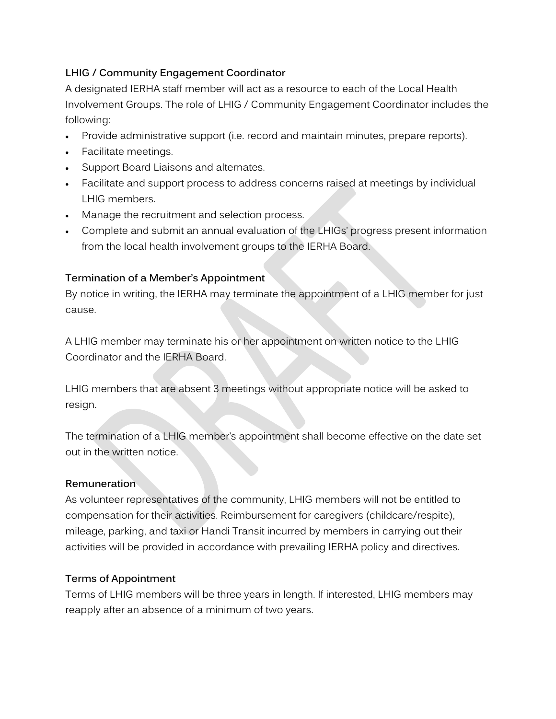## **LHIG / Community Engagement Coordinator**

A designated IERHA staff member will act as a resource to each of the Local Health Involvement Groups. The role of LHIG / Community Engagement Coordinator includes the following:

- Provide administrative support (i.e. record and maintain minutes, prepare reports).
- Facilitate meetings.
- Support Board Liaisons and alternates.
- Facilitate and support process to address concerns raised at meetings by individual LHIG members.
- Manage the recruitment and selection process.
- Complete and submit an annual evaluation of the LHIGs' progress present information from the local health involvement groups to the IERHA Board.

### **Termination of a Member's Appointment**

By notice in writing, the IERHA may terminate the appointment of a LHIG member for just cause.

A LHIG member may terminate his or her appointment on written notice to the LHIG Coordinator and the IERHA Board.

LHIG members that are absent 3 meetings without appropriate notice will be asked to resign.

The termination of a LHIG member's appointment shall become effective on the date set out in the written notice.

### **Remuneration**

As volunteer representatives of the community, LHIG members will not be entitled to compensation for their activities. Reimbursement for caregivers (childcare/respite), mileage, parking, and taxi or Handi Transit incurred by members in carrying out their activities will be provided in accordance with prevailing IERHA policy and directives.

### **Terms of Appointment**

Terms of LHIG members will be three years in length. If interested, LHIG members may reapply after an absence of a minimum of two years.